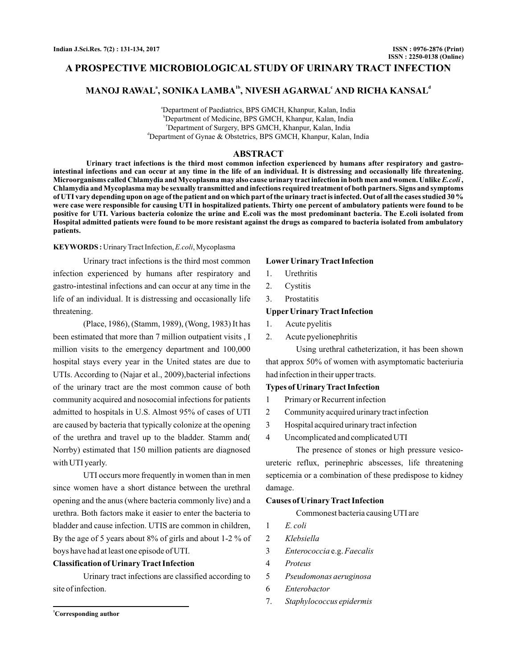## **A PROSPECTIVE MICROBIOLOGICAL STUDY OF URINARY TRACT INFECTION**

# **MANOJ RAWAL<sup>a</sup>, SONIKA LAMBA<sup>1b</sup>, NIVESH AGARWAL<sup>c</sup> AND RICHA KANSAL<sup>a</sup>**

a Department of Paediatrics, BPS GMCH, Khanpur, Kalan, India b Department of Medicine, BPS GMCH, Khanpur, Kalan, India c Department of Surgery, BPS GMCH, Khanpur, Kalan, India d Department of Gynae & Obstetrics, BPS GMCH, Khanpur, Kalan, India

## **ABSTRACT**

**Urinary tract infections is the third most common infection experienced by humans after respiratory and gastrointestinal infections and can occur at any time in the life of an individual. It is distressing and occasionally life threatening.** Microorganisms called Chlamydia and Mycoplasma may also cause urinary tract infection in both men and women. Unlike *E.coli* , **Chlamydia and Mycoplasma may be sexually transmitted and infections required treatment of both partners. Signs and symptoms of UTI vary depending upon on age of the patient and on which part of the urinary tract is infected. Out of all the cases studied 30 % were case were responsible for causing UTI in hospitalized patients. Thirty one percent of ambulatory patients were found to be positive for UTI. Various bacteria colonize the urine and E.coli was the most predominant bacteria. The E.coli isolated from Hospital admitted patients were found to be more resistant against the drugs as compared to bacteria isolated from ambulatory patients.**

#### KEYWORDS: Urinary Tract Infection, E.coli, Mycoplasma

Urinary tract infections is the third most common infection experienced by humans after respiratory and gastro-intestinal infections and can occur at any time in the life of an individual. It is distressing and occasionally life threatening.

(Place, 1986), (Stamm, 1989), (Wong, 1983) It has been estimated that more than 7 million outpatient visits , I million visits to the emergency department and 100,000 hospital stays every year in the United states are due to UTIs. According to (Najar et al., 2009),bacterial infections of the urinary tract are the most common cause of both community acquired and nosocomial infections for patients admitted to hospitals in U.S. Almost 95% of cases of UTI are caused by bacteria that typically colonize at the opening of the urethra and travel up to the bladder. Stamm and( Norrby) estimated that 150 million patients are diagnosed with UTI yearly.

UTI occurs more frequently in women than in men since women have a short distance between the urethral opening and the anus (where bacteria commonly live) and a urethra. Both factors make it easier to enter the bacteria to bladder and cause infection. UTIS are common in children, By the age of 5 years about 8% of girls and about 1-2 % of boys have had at least one episode of UTI.

### **Classification of Urinary Tract Infection**

Urinary tract infections are classified according to site of infection.

### **Lower Urinary Tract Infection**

- 1. Urethritis
- 2. Cystitis
- 3. Prostatitis

### **Upper Urinary Tract Infection**

- 1. Acute pyelitis
- 2. Acute pyelionephritis

Using urethral catheterization, it has been shown that approx 50% of women with asymptomatic bacteriuria had infection in their upper tracts.

#### **Types of Urinary Tract Infection**

- 1 Primary or Recurrent infection
- 2 Community acquired urinary tract infection
- 3 Hospital acquired urinary tract infection
- 4 Uncomplicated and complicated UTI

The presence of stones or high pressure vesicoureteric reflux, perinephric abscesses, life threatening septicemia or a combination of these predispose to kidney damage.

#### **Causes of Urinary Tract Infection**

Commonest bacteria causing UTI are

*E. coli*

1

- 2 *Klebsiella*
- 3 *Enterococcia* e.g. Faecalis
- 4 *Proteus*
- 5 *Pseudomonas aeruginosa*
- 6 *Enterobactor*
- 7. *Staphylococcus epidermis*

**<sup>1</sup>Corresponding author**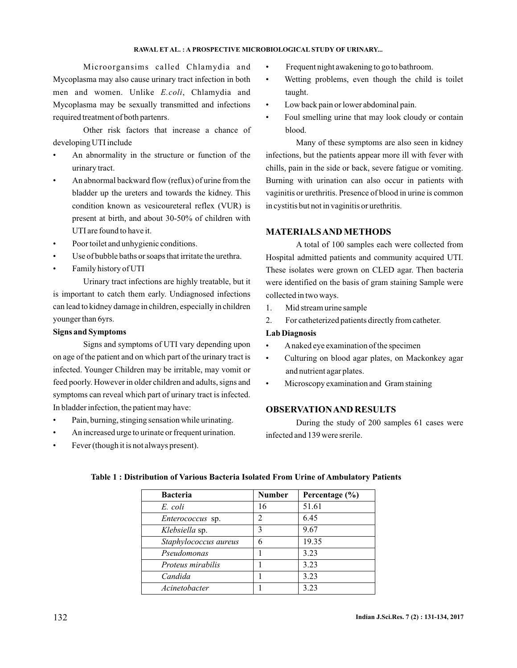## **RAWAL ET AL. : A PROSPECTIVE MICROBIOLOGICAL STUDY OF URINARY...**

Microorgansims called Chlamydia and

Mycoplasma may also cause urinary tract infection in both men and women. Unlike *E.coli*, Chlamydia and Mycoplasma may be sexually transmitted and infections required treatment of both partenrs.

Other risk factors that increase a chance of developing UTI include

- An abnormality in the structure or function of the urinary tract.
- An abnormal backward flow (reflux) of urine from the bladder up the ureters and towards the kidney. This condition known as vesicoureteral reflex (VUR) is present at birth, and about 30-50% of children with UTI are found to have it.
- Poor toilet and unhygienic conditions.
- Use of bubble baths or soaps that irritate the urethra.
- Family history of UTI

Urinary tract infections are highly treatable, but it is important to catch them early. Undiagnosed infections can lead to kidney damage in children, especially in children younger than 6yrs.

## **Signs and Symptoms**

Signs and symptoms of UTI vary depending upon on age of the patient and on which part of the urinary tract is infected. Younger Children may be irritable, may vomit or feed poorly. However in older children and adults, signs and symptoms can reveal which part of urinary tract is infected. In bladder infection, the patient may have:

- Pain, burning, stinging sensation while urinating.
- An increased urge to urinate or frequent urination.
- Fever (though it is not always present).
- Frequent night awakening to go to bathroom.
- Wetting problems, even though the child is toilet taught.
- Low back pain or lower abdominal pain.
- Foul smelling urine that may look cloudy or contain blood.

Many of these symptoms are also seen in kidney infections, but the patients appear more ill with fever with chills, pain in the side or back, severe fatigue or vomiting. Burning with urination can also occur in patients with vaginitis or urethritis. Presence of blood in urine is common in cystitis but not in vaginitis or urethritis.

## **MATERIALSAND METHODS**

A total of 100 samples each were collected from Hospital admitted patients and community acquired UTI. These isolates were grown on CLED agar. Then bacteria were identified on the basis of gram staining Sample were collected in two ways.

- 1. Mid stream urine sample
- 2. For catheterized patients directly from catheter.

## **Lab Diagnosis**

- Anaked eye examination of the specimen
- Culturing on blood agar plates, on Mackonkey agar and nutrient agar plates.
- Microscopy examination and Gram staining

## **OBSERVATIONAND RESULTS**

During the study of 200 samples 61 cases were infected and 139 were srerile.

| <b>Bacteria</b>       | <b>Number</b>                 | Percentage (%) |
|-----------------------|-------------------------------|----------------|
| E. coli               | 16                            | 51.61          |
| Enterococcus sp.      | $\mathfrak{D}_{\mathfrak{p}}$ | 6.45           |
| Klebsiella sp.        | 3                             | 9.67           |
| Staphylococcus aureus | 6                             | 19.35          |
| Pseudomonas           |                               | 3.23           |
| Proteus mirabilis     |                               | 3.23           |
| Candida               |                               | 3.23           |
| Acinetobacter         |                               | 3.23           |

## **Table 1 : Distribution of Various Bacteria Isolated From Urine of Ambulatory Patients**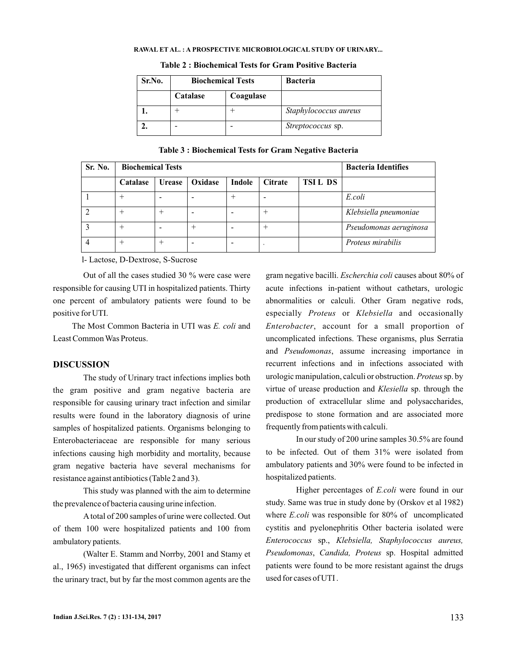#### **RAWAL ET AL. : A PROSPECTIVE MICROBIOLOGICAL STUDY OF URINARY...**

| Sr.No. | <b>Biochemical Tests</b> |           | <b>Bacteria</b>       |
|--------|--------------------------|-----------|-----------------------|
|        | Catalase                 | Coagulase |                       |
|        |                          |           | Staphylococcus aureus |
|        |                          |           | Streptococcus sp.     |

**Table 2 : Biochemical Tests for Gram Positive Bacteria**

### **Table 3 : Biochemical Tests for Gram Negative Bacteria**

| Sr. No. | <b>Biochemical Tests</b> |               |         |        |                | <b>Bacteria Identifies</b> |                        |
|---------|--------------------------|---------------|---------|--------|----------------|----------------------------|------------------------|
|         | Catalase                 | <b>Urease</b> | Oxidase | Indole | <b>Citrate</b> | <b>TSILDS</b>              |                        |
|         |                          |               |         |        |                |                            | E.coli                 |
|         |                          |               |         |        |                |                            | Klebsiella pneumoniae  |
|         |                          |               |         |        |                |                            | Pseudomonas aeruginosa |
|         |                          |               |         |        | $\cdot$        |                            | Proteus mirabilis      |

l- Lactose, D-Dextrose, S-Sucrose

Out of all the cases studied 30 % were case were responsible for causing UTI in hospitalized patients. Thirty one percent of ambulatory patients were found to be positive for UTI.

The Most Common Bacteria in UTI was E. coli and Least Common Was Proteus.

#### **DISCUSSION**

The study of Urinary tract infections implies both the gram positive and gram negative bacteria are responsible for causing urinary tract infection and similar results were found in the laboratory diagnosis of urine samples of hospitalized patients. Organisms belonging to Enterobacteriaceae are responsible for many serious infections causing high morbidity and mortality, because gram negative bacteria have several mechanisms for resistance against antibiotics (Table 2 and 3).

This study was planned with the aim to determine the prevalence of bacteria causing urine infection.

Atotal of 200 samples of urine were collected. Out of them 100 were hospitalized patients and 100 from ambulatory patients.

(Walter E. Stamm and Norrby, 2001 and Stamy et al., 1965) investigated that different organisms can infect the urinary tract, but by far the most common agents are the

gram negative bacilli. *Escherchia coli* causes about 80% of acute infections in-patient without cathetars, urologic abnormalities or calculi. Other Gram negative rods, especially Proteus or Klebsiella and occasionally Enterobacter, account for a small proportion of uncomplicated infections. These organisms, plus Serratia and Pseudomonas, assume increasing importance in recurrent infections and in infections associated with urologic manipulation, calculi or obstruction. Proteus sp. by virtue of urease production and *Klesiella* sp. through the production of extracellular slime and polysaccharides, predispose to stone formation and are associated more frequently from patients with calculi.

In our study of 200 urine samples 30.5% are found to be infected. Out of them 31% were isolated from ambulatory patients and 30% were found to be infected in hospitalized patients.

Higher percentages of *E.coli* were found in our study. Same was true in study done by (Orskov et al 1982) where *E.coli* was responsible for 80% of uncomplicated cystitis and pyelonephritis Other bacteria isolated were sp., *Enterococcus Klebsiella, Staphylococcus aureus,* Pseudomonas, Candida, Proteus sp. Hospital admitted patients were found to be more resistant against the drugs used for cases of UTI .